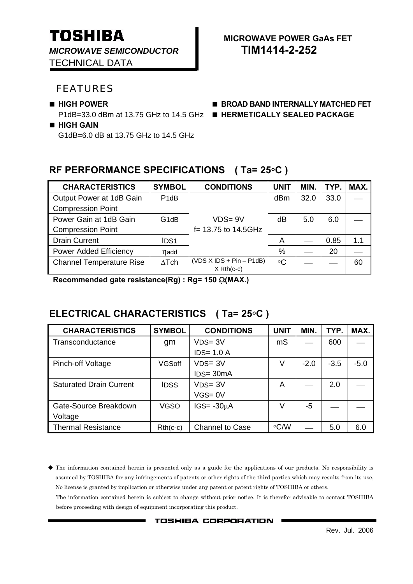*MICROWAVE SEMICONDUCTOR* **TIM1414-2-252** TECHNICAL DATA

#### FEATURES

P1dB=33.0 dBm at 13.75 GHz to 14.5 GHz ■ HERMETICALLY SEALED PACKAGE **HIGH GAIN** 

G1dB=6.0 dB at 13.75 GHz to 14.5 GHz

# **TOSHIBA I** MICROWAVE POWER GAAS FET

- **HIGH POWER BROAD BAND INTERNALLY MATCHED FET**
	-

#### **RF PERFORMANCE SPECIFICATIONS ( Ta= 25**°**C )**

| <b>CHARACTERISTICS</b>          | <b>SYMBOL</b>     | <b>CONDITIONS</b>                          | <b>UNIT</b> | MIN. | TYP. | MAX. |
|---------------------------------|-------------------|--------------------------------------------|-------------|------|------|------|
| Output Power at 1dB Gain        | P <sub>1</sub> dB |                                            | dBm         | 32.0 | 33.0 |      |
| <b>Compression Point</b>        |                   |                                            |             |      |      |      |
| Power Gain at 1dB Gain          | G <sub>1</sub> dB | $VDS = 9V$                                 | dB          | 5.0  | 6.0  |      |
| <b>Compression Point</b>        |                   | f= 13.75 to 14.5GHz                        |             |      |      |      |
| <b>Drain Current</b>            | IDS1              |                                            | A           |      | 0.85 | 1.1  |
| Power Added Efficiency          | nadd              |                                            | %           |      | 20   |      |
| <b>Channel Temperature Rise</b> | $\Delta$ Tch      | $(VDS X IDs + Pin - P1dB)$<br>$X$ Rth(c-c) | $\circ$ C   |      |      | 60   |

 **Recommended gate resistance(Rg) : Rg= 150** Ω**(MAX.)** 

 $\blacksquare$ 

### **ELECTRICAL CHARACTERISTICS ( Ta= 25**°**C )**

| <b>CHARACTERISTICS</b>         | <b>SYMBOL</b> | <b>CONDITIONS</b>      | <b>UNIT</b> | MIN.   | TYP.   | MAX.   |
|--------------------------------|---------------|------------------------|-------------|--------|--------|--------|
| Transconductance               | gm            | $VDS = 3V$             | mS          |        | 600    |        |
|                                |               | $IDS = 1.0 A$          |             |        |        |        |
| Pinch-off Voltage              | <b>VGSoff</b> | $VDS = 3V$             | V           | $-2.0$ | $-3.5$ | $-5.0$ |
|                                |               | $IDS = 30mA$           |             |        |        |        |
| <b>Saturated Drain Current</b> | <b>IDSS</b>   | $VDS = 3V$             | A           |        | 2.0    |        |
|                                |               | $VGS = 0V$             |             |        |        |        |
| Gate-Source Breakdown          | <b>VGSO</b>   | $IGS = -30µA$          | V           | -5     |        |        |
| Voltage                        |               |                        |             |        |        |        |
| <b>Thermal Resistance</b>      | $Rth(c-c)$    | <b>Channel to Case</b> | $\circ$ C/W |        | 5.0    | 6.0    |

 The information contained herein is presented only as a guide for the applications of our products. No responsibility is assumed by TOSHIBA for any infringements of patents or other rights of the third parties which may results from its use, No license is granted by implication or otherwise under any patent or patent rights of TOSHIBA or others.

The information contained herein is subject to change without prior notice. It is therefor advisable to contact TOSHIBA before proceeding with design of equipment incorporating this product.

TOSHIBA CORPORATION .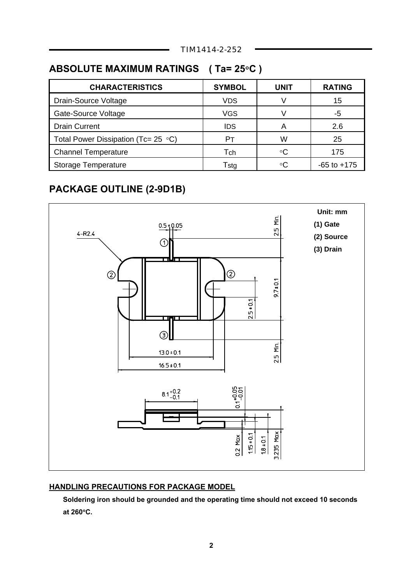TIM1414-2-252

### **ABSOLUTE MAXIMUM RATINGS ( Ta= 25**°**C )**

| <b>CHARACTERISTICS</b>                       | <b>SYMBOL</b> | UNIT | <b>RATING</b>   |
|----------------------------------------------|---------------|------|-----------------|
| Drain-Source Voltage                         | <b>VDS</b>    |      | 15              |
| Gate-Source Voltage                          | <b>VGS</b>    |      | -5              |
| <b>Drain Current</b>                         | IDS           | А    | 2.6             |
| Total Power Dissipation (Tc= 25 $\degree$ C) | Pт            | W    | 25              |
| <b>Channel Temperature</b>                   | Tch           | ∘C   | 175             |
| Storage Temperature                          | Tstg          | ∘C   | $-65$ to $+175$ |
|                                              |               |      |                 |

### **PACKAGE OUTLINE (2-9D1B)**



#### **HANDLING PRECAUTIONS FOR PACKAGE MODEL**

 **Soldering iron should be grounded and the operating time should not exceed 10 seconds at 260**°**C.**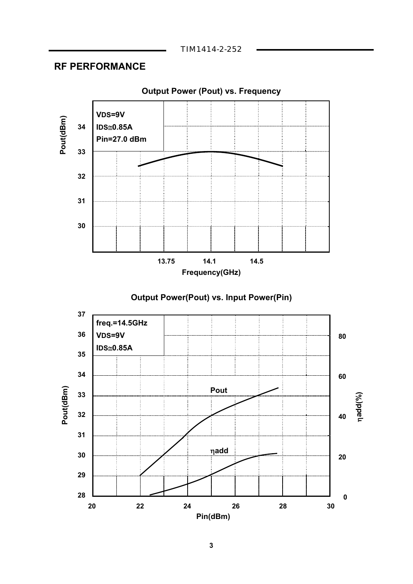TIM1414-2-252

#### **RF PERFORMANCE**